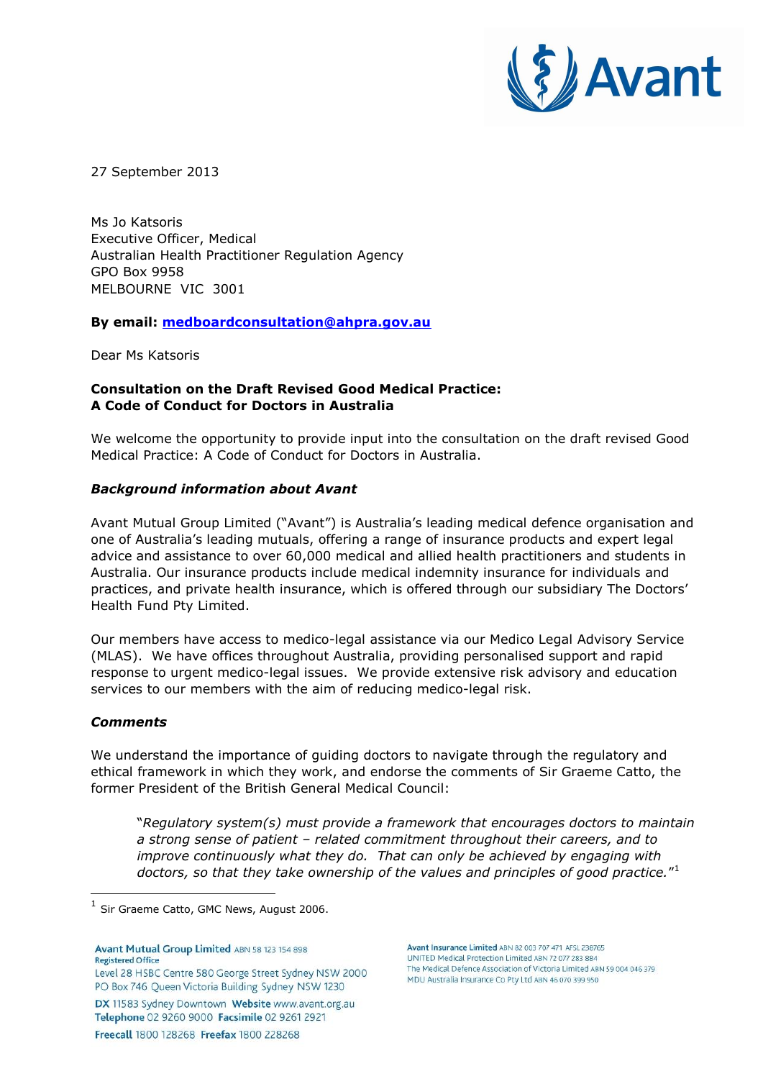

27 September 2013

Ms Jo Katsoris Executive Officer, Medical Australian Health Practitioner Regulation Agency GPO Box 9958 MELBOURNE VIC 3001

**By email: [medboardconsultation@ahpra.gov.au](mailto:medboardconsultation@ahpra.gov.au)**

Dear Ms Katsoris

## **Consultation on the Draft Revised Good Medical Practice: A Code of Conduct for Doctors in Australia**

We welcome the opportunity to provide input into the consultation on the draft revised Good Medical Practice: A Code of Conduct for Doctors in Australia.

## *Background information about Avant*

Avant Mutual Group Limited ("Avant") is Australia's leading medical defence organisation and one of Australia's leading mutuals, offering a range of insurance products and expert legal advice and assistance to over 60,000 medical and allied health practitioners and students in Australia. Our insurance products include medical indemnity insurance for individuals and practices, and private health insurance, which is offered through our subsidiary The Doctors' Health Fund Pty Limited.

Our members have access to medico-legal assistance via our Medico Legal Advisory Service (MLAS). We have offices throughout Australia, providing personalised support and rapid response to urgent medico-legal issues. We provide extensive risk advisory and education services to our members with the aim of reducing medico-legal risk.

## *Comments*

We understand the importance of guiding doctors to navigate through the regulatory and ethical framework in which they work, and endorse the comments of Sir Graeme Catto, the former President of the British General Medical Council:

"*Regulatory system(s) must provide a framework that encourages doctors to maintain a strong sense of patient – related commitment throughout their careers, and to improve continuously what they do. That can only be achieved by engaging with doctors, so that they take ownership of the values and principles of good practice.*" 1

Avant Mutual Group Limited ABN 58 123 154 898 **Registered Office** Level 28 HSBC Centre 580 George Street Sydney NSW 2000 PO Box 746 Queen Victoria Building Sydney NSW 1230 DX 11583 Sydney Downtown Website www.avant.org.au Telephone 02 9260 9000 Facsimile 02 9261 2921 Freecall 1800 128268 Freefax 1800 228268

Avant Insurance Limited ABN 82 003 707 471 AFSL 238765 UNITED Medical Protection Limited ABN 72 077 283 884 The Medical Defence Association of Victoria Limited ABN 59 004 046 379 MDU Australia Insurance Co Pty Ltd ABN 46 070 399 950

 $<sup>1</sup>$  Sir Graeme Catto, GMC News, August 2006.</sup>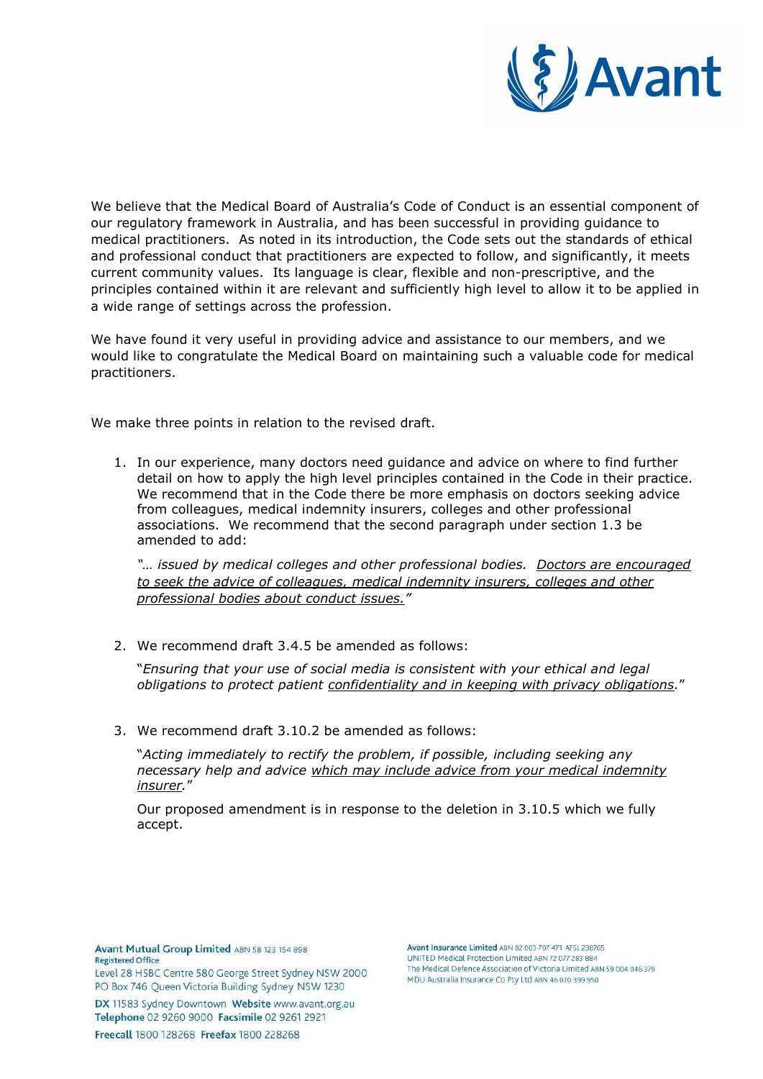

We believe that the Medical Board of Australia's Code of Conduct is an essential component of our regulatory framework in Australia, and has been successful in providing guidance to medical practitioners. As noted in its introduction, the Code sets out the standards of ethical and professional conduct that practitioners are expected to follow, and significantly, it meets current community values. Its language is clear, flexible and non-prescriptive, and the principles contained within it are relevant and sufficiently high level to allow it to be applied in a wide range of settings across the profession.

We have found it very useful in providing advice and assistance to our members, and we would like to congratulate the Medical Board on maintaining such a valuable code for medical practitioners.

We make three points in relation to the revised draft.

1. In our experience, many doctors need guidance and advice on where to find further detail on how to apply the high level principles contained in the Code in their practice. We recommend that in the Code there be more emphasis on doctors seeking advice from colleagues, medical indemnity insurers, colleges and other professional associations. We recommend that the second paragraph under section 1.3 be amended to add:

*"… issued by medical colleges and other professional bodies. Doctors are encouraged to seek the advice of colleagues, medical indemnity insurers, colleges and other professional bodies about conduct issues."*

2. We recommend draft 3.4.5 be amended as follows:

"*Ensuring that your use of social media is consistent with your ethical and legal obligations to protect patient confidentiality and in keeping with privacy obligations.*"

3. We recommend draft 3.10.2 be amended as follows:

"*Acting immediately to rectify the problem, if possible, including seeking any necessary help and advice which may include advice from your medical indemnity insurer.*"

Our proposed amendment is in response to the deletion in 3.10.5 which we fully accept.

Avant Mutual Group Limited ABN 58 123 154 898 **Registered Office** Level 28 HSBC Centre 580 George Street Sydney NSW 2000

PO Box 746 Queen Victoria Building Sydney NSW 1230 DX 11583 Sydney Downtown Website www.avant.org.au Telephone 02 9260 9000 Facsimile 02 9261 2921